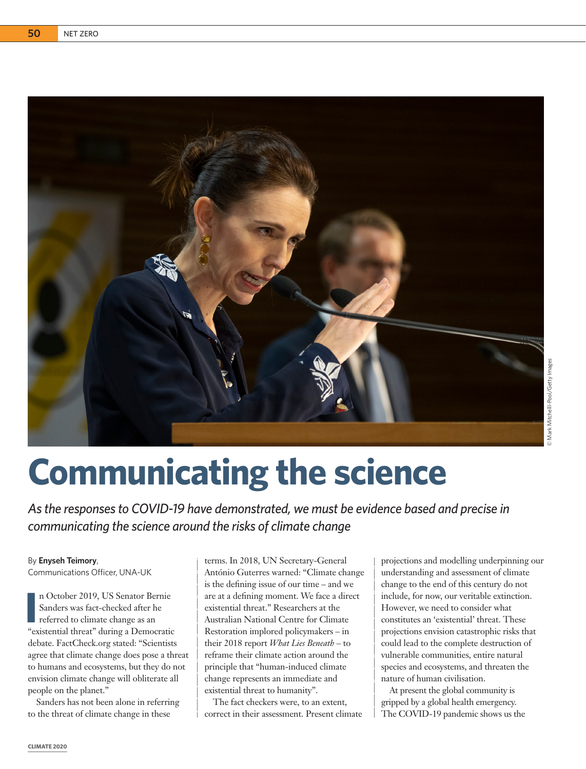

# **Communicating the science**

*As the responses to COVID-19 have demonstrated, we must be evidence based and precise in communicating the science around the risks of climate change*

### By **Enyseh Teimory**,

Communications Officer, UNA-UK

**I E** n October 2019, US Senator Bernie<br>
Sanders was fact-checked after he<br>
referred to climate change as an<br>
"existential threat" during a Democratic n October 2019, US Senator Bernie Sanders was fact-checked after he referred to climate change as an debate. FactCheck.org stated: "Scientists agree that climate change does pose a threat to humans and ecosystems, but they do not envision climate change will obliterate all people on the planet."

Sanders has not been alone in referring to the threat of climate change in these

terms. In 2018, UN Secretary-General António Guterres warned: "Climate change is the defining issue of our time – and we are at a defining moment. We face a direct existential threat." Researchers at the Australian National Centre for Climate Restoration implored policymakers – in their 2018 report *What Lies Beneath* – to reframe their climate action around the principle that "human-induced climate change represents an immediate and existential threat to humanity".

The fact checkers were, to an extent, correct in their assessment. Present climate projections and modelling underpinning our understanding and assessment of climate change to the end of this century do not include, for now, our veritable extinction. However, we need to consider what constitutes an 'existential' threat. These projections envision catastrophic risks that could lead to the complete destruction of vulnerable communities, entire natural species and ecosystems, and threaten the nature of human civilisation.

At present the global community is gripped by a global health emergency. The COVID-19 pandemic shows us the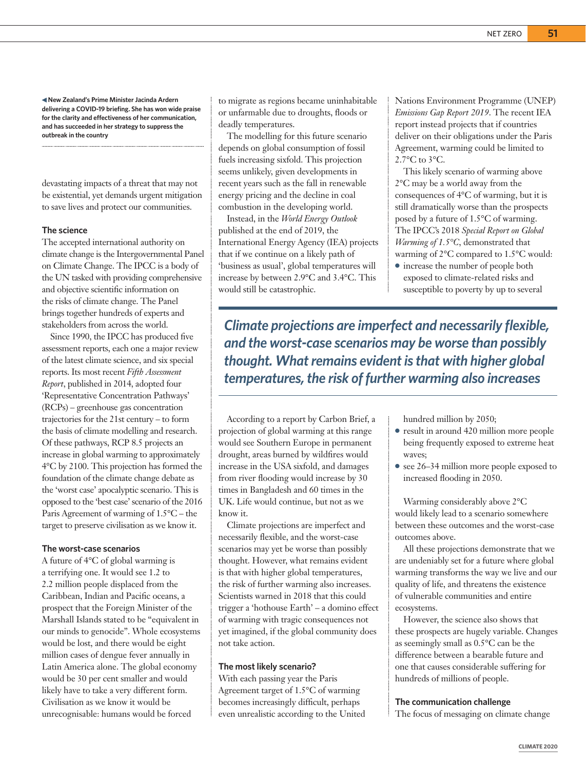**New Zealand's Prime Minister Jacinda Ardern delivering a COVID-19 briefing. She has won wide praise for the clarity and effectiveness of her communication, and has succeeded in her strategy to suppress the outbreak in the country**

devastating impacts of a threat that may not be existential, yet demands urgent mitigation to save lives and protect our communities.

#### **The science**

The accepted international authority on climate change is the Intergovernmental Panel on Climate Change. The IPCC is a body of the UN tasked with providing comprehensive and objective scientific information on the risks of climate change. The Panel brings together hundreds of experts and stakeholders from across the world.

Since 1990, the IPCC has produced five assessment reports, each one a major review of the latest climate science, and six special reports. Its most recent *Fifth Assessment Report*, published in 2014, adopted four 'Representative Concentration Pathways' (RCPs) – greenhouse gas concentration trajectories for the 21st century – to form the basis of climate modelling and research. Of these pathways, RCP 8.5 projects an increase in global warming to approximately 4°C by 2100. This projection has formed the foundation of the climate change debate as the 'worst case' apocalyptic scenario. This is opposed to the 'best case' scenario of the 2016 Paris Agreement of warming of 1.5°C – the target to preserve civilisation as we know it.

#### **The worst-case scenarios**

A future of 4°C of global warming is a terrifying one. It would see 1.2 to 2.2 million people displaced from the Caribbean, Indian and Pacific oceans, a prospect that the Foreign Minister of the Marshall Islands stated to be "equivalent in our minds to genocide". Whole ecosystems would be lost, and there would be eight million cases of dengue fever annually in Latin America alone. The global economy would be 30 per cent smaller and would likely have to take a very different form. Civilisation as we know it would be unrecognisable: humans would be forced

to migrate as regions became uninhabitable or unfarmable due to droughts, floods or deadly temperatures.

The modelling for this future scenario depends on global consumption of fossil fuels increasing sixfold. This projection seems unlikely, given developments in recent years such as the fall in renewable energy pricing and the decline in coal combustion in the developing world.

Instead, in the *World Energy Outlook*  published at the end of 2019, the International Energy Agency (IEA) projects that if we continue on a likely path of 'business as usual', global temperatures will increase by between 2.9°C and 3.4°C. This would still be catastrophic.

Nations Environment Programme (UNEP) *Emissions Gap Report 2019*. The recent IEA report instead projects that if countries deliver on their obligations under the Paris Agreement, warming could be limited to 2.7°C to 3°C.

This likely scenario of warming above 2°C may be a world away from the consequences of 4°C of warming, but it is still dramatically worse than the prospects posed by a future of 1.5°C of warming. The IPCC's 2018 *Special Report on Global Warming of 1.5°C*, demonstrated that warming of 2°C compared to 1.5°C would:

● increase the number of people both exposed to climate-related risks and susceptible to poverty by up to several

*Climate projections are imperfect and necessarily flexible, and the worst-case scenarios may be worse than possibly thought. What remains evident is that with higher global temperatures, the risk of further warming also increases*

According to a report by Carbon Brief, a projection of global warming at this range would see Southern Europe in permanent drought, areas burned by wildfires would increase in the USA sixfold, and damages from river flooding would increase by 30 times in Bangladesh and 60 times in the UK. Life would continue, but not as we know it.

Climate projections are imperfect and necessarily flexible, and the worst-case scenarios may yet be worse than possibly thought. However, what remains evident is that with higher global temperatures, the risk of further warming also increases. Scientists warned in 2018 that this could trigger a 'hothouse Earth' – a domino effect of warming with tragic consequences not yet imagined, if the global community does not take action.

## **The most likely scenario?**

With each passing year the Paris Agreement target of 1.5°C of warming becomes increasingly difficult, perhaps even unrealistic according to the United hundred million by 2050;

- result in around 420 million more people being frequently exposed to extreme heat waves;
- see 26–34 million more people exposed to increased flooding in 2050.

Warming considerably above 2°C would likely lead to a scenario somewhere between these outcomes and the worst-case outcomes above.

All these projections demonstrate that we are undeniably set for a future where global warming transforms the way we live and our quality of life, and threatens the existence of vulnerable communities and entire ecosystems.

However, the science also shows that these prospects are hugely variable. Changes as seemingly small as 0.5°C can be the difference between a bearable future and one that causes considerable suffering for hundreds of millions of people.

#### **The communication challenge**

The focus of messaging on climate change